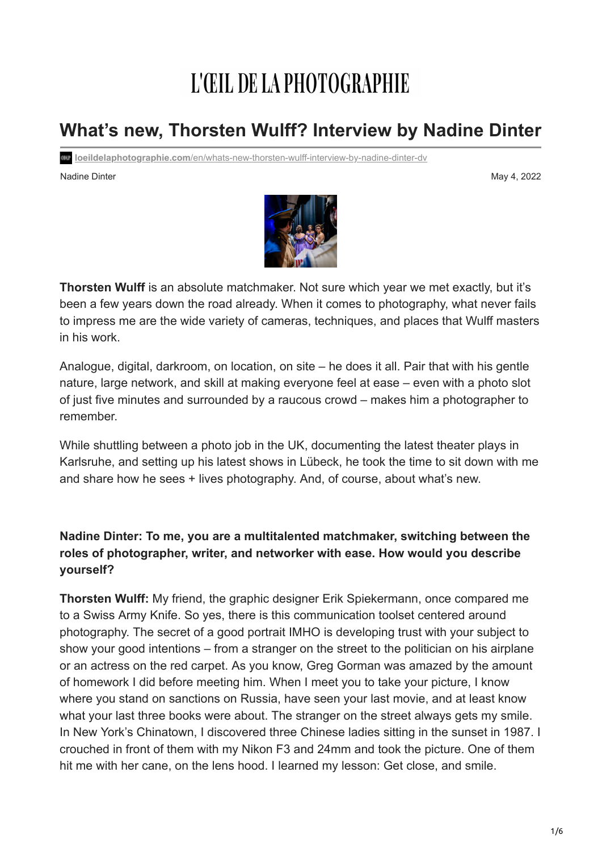# L'ŒIL DE LA PHOTOGRAPHIE

# **What's new, Thorsten Wulff? Interview by Nadine Dinter**

**loeildelaphotographie.com**[/en/whats-new-thorsten-wulff-interview-by-nadine-dinter-dv](https://loeildelaphotographie.com/en/whats-new-thorsten-wulff-interview-by-nadine-dinter-dv/?utm_source=Liste+ODLP+nouvelle+version&utm_campaign=fcb6698fc9-Edition+of+May+4th+20222&utm_medium=email&utm_term=0_27b3627ade-fcb6698fc9-%5BLIST_EMAIL_ID%5D&ct=t(Newsletter+EN+05042022))

Nadine Dinter May 4, 2022 May 4, 2022 May 4, 2022



**Thorsten Wulff** is an absolute matchmaker. Not sure which year we met exactly, but it's been a few years down the road already. When it comes to photography, what never fails to impress me are the wide variety of cameras, techniques, and places that Wulff masters in his work.

Analogue, digital, darkroom, on location, on site – he does it all. Pair that with his gentle nature, large network, and skill at making everyone feel at ease – even with a photo slot of just five minutes and surrounded by a raucous crowd – makes him a photographer to remember.

While shuttling between a photo job in the UK, documenting the latest theater plays in Karlsruhe, and setting up his latest shows in Lübeck, he took the time to sit down with me and share how he sees + lives photography. And, of course, about what's new.

# **Nadine Dinter: To me, you are a multitalented matchmaker, switching between the roles of photographer, writer, and networker with ease. How would you describe yourself?**

**Thorsten Wulff:** My friend, the graphic designer Erik Spiekermann, once compared me to a Swiss Army Knife. So yes, there is this communication toolset centered around photography. The secret of a good portrait IMHO is developing trust with your subject to show your good intentions – from a stranger on the street to the politician on his airplane or an actress on the red carpet. As you know, Greg Gorman was amazed by the amount of homework I did before meeting him. When I meet you to take your picture, I know where you stand on sanctions on Russia, have seen your last movie, and at least know what your last three books were about. The stranger on the street always gets my smile. In New York's Chinatown, I discovered three Chinese ladies sitting in the sunset in 1987. I crouched in front of them with my Nikon F3 and 24mm and took the picture. One of them hit me with her cane, on the lens hood. I learned my lesson: Get close, and smile.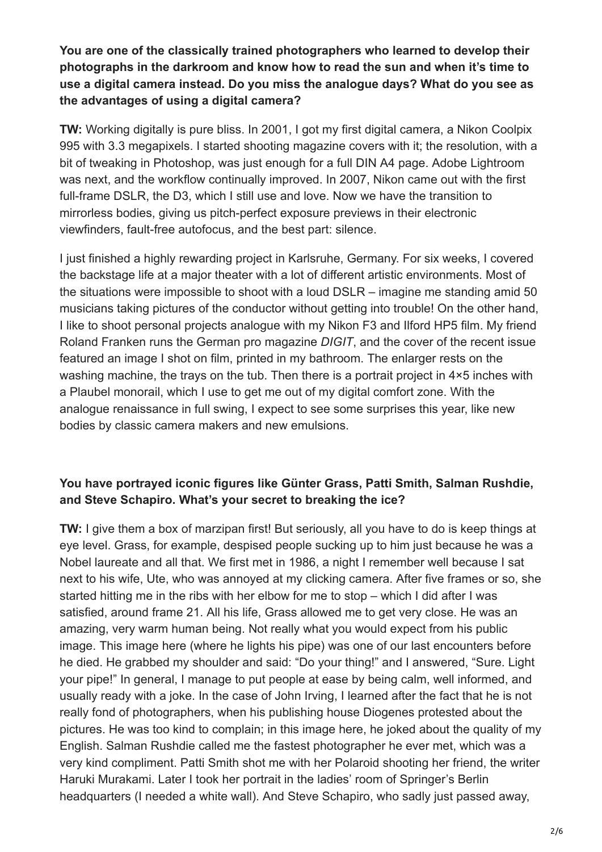**You are one of the classically trained photographers who learned to develop their photographs in the darkroom and know how to read the sun and when it's time to use a digital camera instead. Do you miss the analogue days? What do you see as the advantages of using a digital camera?**

**TW:** Working digitally is pure bliss. In 2001, I got my first digital camera, a Nikon Coolpix 995 with 3.3 megapixels. I started shooting magazine covers with it; the resolution, with a bit of tweaking in Photoshop, was just enough for a full DIN A4 page. Adobe Lightroom was next, and the workflow continually improved. In 2007, Nikon came out with the first full-frame DSLR, the D3, which I still use and love. Now we have the transition to mirrorless bodies, giving us pitch-perfect exposure previews in their electronic viewfinders, fault-free autofocus, and the best part: silence.

I just finished a highly rewarding project in Karlsruhe, Germany. For six weeks, I covered the backstage life at a major theater with a lot of different artistic environments. Most of the situations were impossible to shoot with a loud DSLR – imagine me standing amid 50 musicians taking pictures of the conductor without getting into trouble! On the other hand, I like to shoot personal projects analogue with my Nikon F3 and Ilford HP5 film. My friend Roland Franken runs the German pro magazine *DIGIT*, and the cover of the recent issue featured an image I shot on film, printed in my bathroom. The enlarger rests on the washing machine, the trays on the tub. Then there is a portrait project in 4×5 inches with a Plaubel monorail, which I use to get me out of my digital comfort zone. With the analogue renaissance in full swing, I expect to see some surprises this year, like new bodies by classic camera makers and new emulsions.

# **You have portrayed iconic figures like Günter Grass, Patti Smith, Salman Rushdie, and Steve Schapiro. What's your secret to breaking the ice?**

**TW:** I give them a box of marzipan first! But seriously, all you have to do is keep things at eye level. Grass, for example, despised people sucking up to him just because he was a Nobel laureate and all that. We first met in 1986, a night I remember well because I sat next to his wife, Ute, who was annoyed at my clicking camera. After five frames or so, she started hitting me in the ribs with her elbow for me to stop – which I did after I was satisfied, around frame 21. All his life, Grass allowed me to get very close. He was an amazing, very warm human being. Not really what you would expect from his public image. This image here (where he lights his pipe) was one of our last encounters before he died. He grabbed my shoulder and said: "Do your thing!" and I answered, "Sure. Light your pipe!" In general, I manage to put people at ease by being calm, well informed, and usually ready with a joke. In the case of John Irving, I learned after the fact that he is not really fond of photographers, when his publishing house Diogenes protested about the pictures. He was too kind to complain; in this image here, he joked about the quality of my English. Salman Rushdie called me the fastest photographer he ever met, which was a very kind compliment. Patti Smith shot me with her Polaroid shooting her friend, the writer Haruki Murakami. Later I took her portrait in the ladies' room of Springer's Berlin headquarters (I needed a white wall). And Steve Schapiro, who sadly just passed away,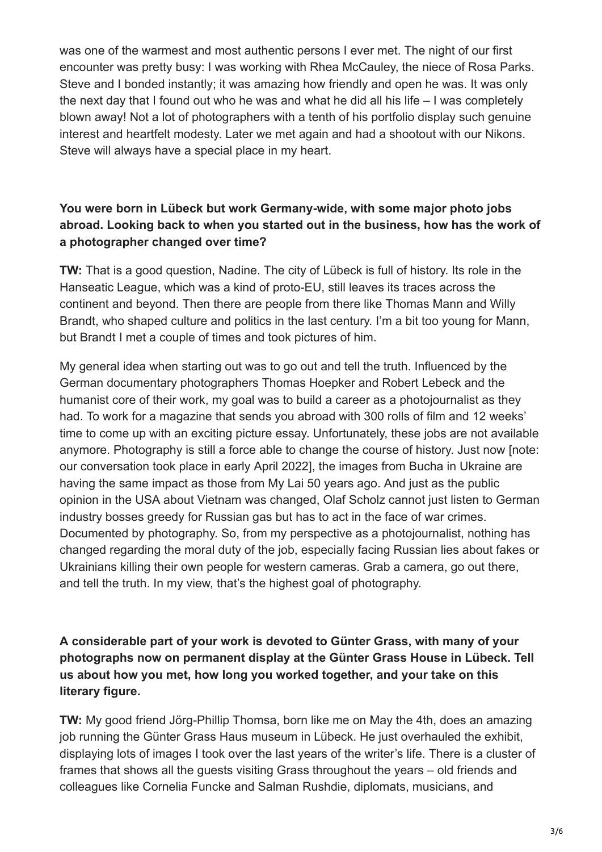was one of the warmest and most authentic persons I ever met. The night of our first encounter was pretty busy: I was working with Rhea McCauley, the niece of Rosa Parks. Steve and I bonded instantly; it was amazing how friendly and open he was. It was only the next day that I found out who he was and what he did all his life – I was completely blown away! Not a lot of photographers with a tenth of his portfolio display such genuine interest and heartfelt modesty. Later we met again and had a shootout with our Nikons. Steve will always have a special place in my heart.

# **You were born in Lübeck but work Germany-wide, with some major photo jobs abroad. Looking back to when you started out in the business, how has the work of a photographer changed over time?**

**TW:** That is a good question, Nadine. The city of Lübeck is full of history. Its role in the Hanseatic League, which was a kind of proto-EU, still leaves its traces across the continent and beyond. Then there are people from there like Thomas Mann and Willy Brandt, who shaped culture and politics in the last century. I'm a bit too young for Mann, but Brandt I met a couple of times and took pictures of him.

My general idea when starting out was to go out and tell the truth. Influenced by the German documentary photographers Thomas Hoepker and Robert Lebeck and the humanist core of their work, my goal was to build a career as a photojournalist as they had. To work for a magazine that sends you abroad with 300 rolls of film and 12 weeks' time to come up with an exciting picture essay. Unfortunately, these jobs are not available anymore. Photography is still a force able to change the course of history. Just now [note: our conversation took place in early April 2022], the images from Bucha in Ukraine are having the same impact as those from My Lai 50 years ago. And just as the public opinion in the USA about Vietnam was changed, Olaf Scholz cannot just listen to German industry bosses greedy for Russian gas but has to act in the face of war crimes. Documented by photography. So, from my perspective as a photojournalist, nothing has changed regarding the moral duty of the job, especially facing Russian lies about fakes or Ukrainians killing their own people for western cameras. Grab a camera, go out there, and tell the truth. In my view, that's the highest goal of photography.

# **A considerable part of your work is devoted to Günter Grass, with many of your photographs now on permanent display at the Günter Grass House in Lübeck. Tell us about how you met, how long you worked together, and your take on this literary figure.**

**TW:** My good friend Jörg-Phillip Thomsa, born like me on May the 4th, does an amazing job running the Günter Grass Haus museum in Lübeck. He just overhauled the exhibit, displaying lots of images I took over the last years of the writer's life. There is a cluster of frames that shows all the guests visiting Grass throughout the years – old friends and colleagues like Cornelia Funcke and Salman Rushdie, diplomats, musicians, and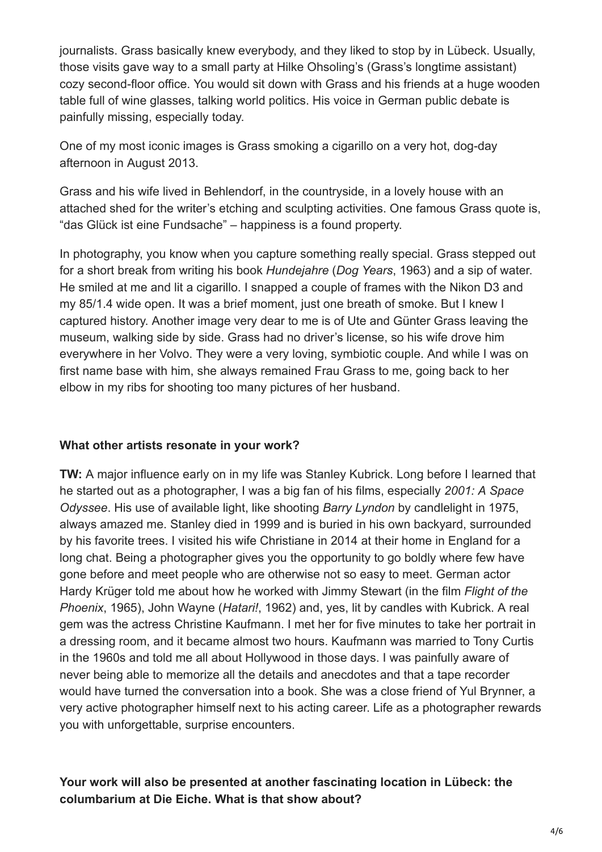journalists. Grass basically knew everybody, and they liked to stop by in Lübeck. Usually, those visits gave way to a small party at Hilke Ohsoling's (Grass's longtime assistant) cozy second-floor office. You would sit down with Grass and his friends at a huge wooden table full of wine glasses, talking world politics. His voice in German public debate is painfully missing, especially today.

One of my most iconic images is Grass smoking a cigarillo on a very hot, dog-day afternoon in August 2013.

Grass and his wife lived in Behlendorf, in the countryside, in a lovely house with an attached shed for the writer's etching and sculpting activities. One famous Grass quote is, "das Glück ist eine Fundsache" – happiness is a found property.

In photography, you know when you capture something really special. Grass stepped out for a short break from writing his book *Hundejahre* (*Dog Years*, 1963) and a sip of water. He smiled at me and lit a cigarillo. I snapped a couple of frames with the Nikon D3 and my 85/1.4 wide open. It was a brief moment, just one breath of smoke. But I knew I captured history. Another image very dear to me is of Ute and Günter Grass leaving the museum, walking side by side. Grass had no driver's license, so his wife drove him everywhere in her Volvo. They were a very loving, symbiotic couple. And while I was on first name base with him, she always remained Frau Grass to me, going back to her elbow in my ribs for shooting too many pictures of her husband.

#### **What other artists resonate in your work?**

**TW:** A major influence early on in my life was Stanley Kubrick. Long before I learned that he started out as a photographer, I was a big fan of his films, especially *2001: A Space Odyssee*. His use of available light, like shooting *Barry Lyndon* by candlelight in 1975, always amazed me. Stanley died in 1999 and is buried in his own backyard, surrounded by his favorite trees. I visited his wife Christiane in 2014 at their home in England for a long chat. Being a photographer gives you the opportunity to go boldly where few have gone before and meet people who are otherwise not so easy to meet. German actor Hardy Krüger told me about how he worked with Jimmy Stewart (in the film *Flight of the Phoenix*, 1965), John Wayne (*Hatari!*, 1962) and, yes, lit by candles with Kubrick. A real gem was the actress Christine Kaufmann. I met her for five minutes to take her portrait in a dressing room, and it became almost two hours. Kaufmann was married to Tony Curtis in the 1960s and told me all about Hollywood in those days. I was painfully aware of never being able to memorize all the details and anecdotes and that a tape recorder would have turned the conversation into a book. She was a close friend of Yul Brynner, a very active photographer himself next to his acting career. Life as a photographer rewards you with unforgettable, surprise encounters.

# **Your work will also be presented at another fascinating location in Lübeck: the columbarium at Die Eiche. What is that show about?**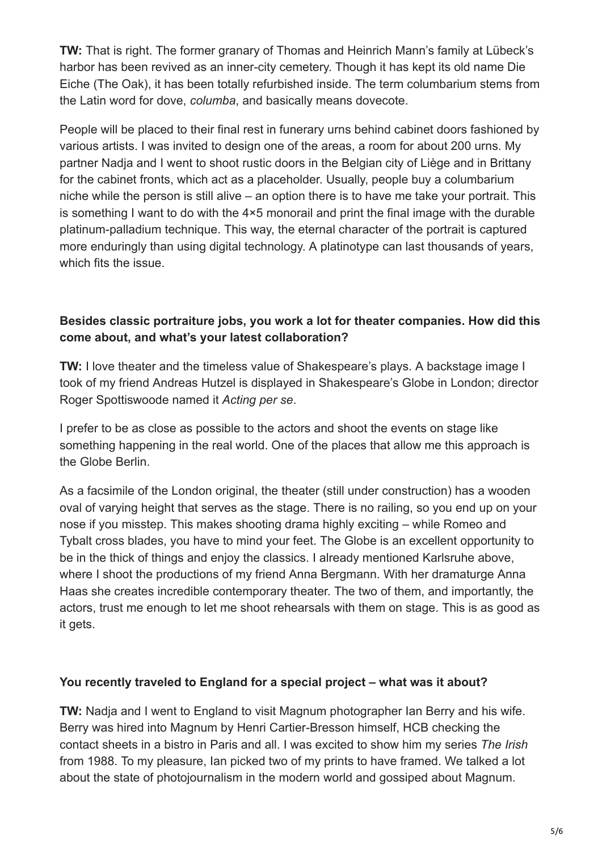**TW:** That is right. The former granary of Thomas and Heinrich Mann's family at Lübeck's harbor has been revived as an inner-city cemetery. Though it has kept its old name Die Eiche (The Oak), it has been totally refurbished inside. The term columbarium stems from the Latin word for dove, *columba*, and basically means dovecote.

People will be placed to their final rest in funerary urns behind cabinet doors fashioned by various artists. I was invited to design one of the areas, a room for about 200 urns. My partner Nadja and I went to shoot rustic doors in the Belgian city of Liège and in Brittany for the cabinet fronts, which act as a placeholder. Usually, people buy a columbarium niche while the person is still alive – an option there is to have me take your portrait. This is something I want to do with the 4×5 monorail and print the final image with the durable platinum-palladium technique. This way, the eternal character of the portrait is captured more enduringly than using digital technology. A platinotype can last thousands of years, which fits the issue.

# **Besides classic portraiture jobs, you work a lot for theater companies. How did this come about, and what's your latest collaboration?**

**TW:** I love theater and the timeless value of Shakespeare's plays. A backstage image I took of my friend Andreas Hutzel is displayed in Shakespeare's Globe in London; director Roger Spottiswoode named it *Acting per se*.

I prefer to be as close as possible to the actors and shoot the events on stage like something happening in the real world. One of the places that allow me this approach is the Globe Berlin.

As a facsimile of the London original, the theater (still under construction) has a wooden oval of varying height that serves as the stage. There is no railing, so you end up on your nose if you misstep. This makes shooting drama highly exciting – while Romeo and Tybalt cross blades, you have to mind your feet. The Globe is an excellent opportunity to be in the thick of things and enjoy the classics. I already mentioned Karlsruhe above, where I shoot the productions of my friend Anna Bergmann. With her dramaturge Anna Haas she creates incredible contemporary theater. The two of them, and importantly, the actors, trust me enough to let me shoot rehearsals with them on stage. This is as good as it gets.

#### **You recently traveled to England for a special project – what was it about?**

**TW:** Nadja and I went to England to visit Magnum photographer Ian Berry and his wife. Berry was hired into Magnum by Henri Cartier-Bresson himself, HCB checking the contact sheets in a bistro in Paris and all. I was excited to show him my series *The Irish* from 1988. To my pleasure, Ian picked two of my prints to have framed. We talked a lot about the state of photojournalism in the modern world and gossiped about Magnum.